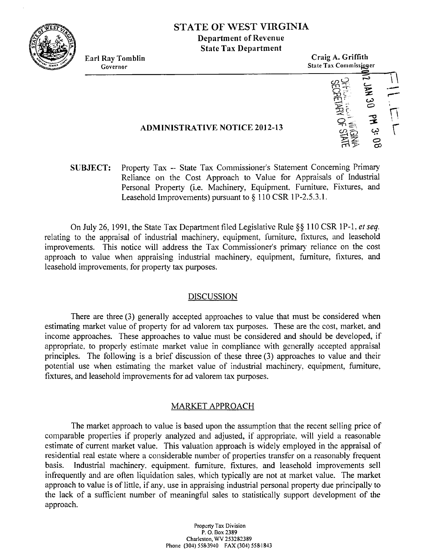

# **STATE OF WEST VIRGINIA Department of Revenue State Tax Department**

Ray Tomblin<br>
Governor<br>
State Tax Commissioner<br>
State Tax Commissioner **Earl Ray Tomblin Craig A. Griffith**<br> **Earl Ray Tomblin**<br> **Earl Ray Tombission**  $\frac{1}{1}$ 

### **ADMINISTRATIVE NOTICE 2012-13**

**SUBJECT:** Property Tax -- State Tax Commissioner's Statement Concerning Primary Reliance on the Cost Approach to Value for Appraisals of Industrial Personal Property (i.e. Machinery, Equipment, Furniture, Fixtures, and Leasehold Improvements) pursuant to § 110 CSR 1P-2.5.3.1.

On July 26, 1991, the State Tax Department filed Legislative Rule §§ 110 CSR 1P-1, et seq. relating to the appraisal of industrial machinery, equipment, furniture, fixtures, and leasehold improvements. This notice will address the Tax Commissioner's primary reliance on the cost approach to value when appraising industrial machinery, equipment, furniture, fixtures, and leasehold improvements. for property tax purposes.

### DISCUSSION

There are three (3) generally accepted approaches to value that must be considered when estimating market value of property for ad valorem tax purposes. These are the cost, market, and income approaches. These approaches to value must be considered and should be developed, if appropriate, to properly estimate market value in compliance with generally accepted appraisal principles. The following is a brief discussion of these three **(3)** approaches to value and their potential use when estimating the market value of industrial machinery. equipment, furniture. fixtures, and leasehold improvements for ad valorem tax purposes.

## MARKET APPROACH

The market approach to value is based upon the assumption that the recent selling price of comparable properties if properly analyzed and adjusted, if appropriate, will yield a reasonable estimate of current market value. This valuation approach is widely employed in the appraisal of residential real estate where a considerable number of properties transfer on a reasonably frequent basis. Industrial machinery. equipment. furniture. fixtures. and leasehold improvements sell infrequently and are often liquidation sales, which typically are not at market value. The market approach to value is of little, if any. use in appraising industrial personal property due principally to the lack of a sufficient number of meaningful sales to statistically support development of the approach.

> **Propcrty Tax Division P.** 0. **Box 2389 Charlssron, WV 253282389 Phone (304) 558.3940 FAX (301) 5581843**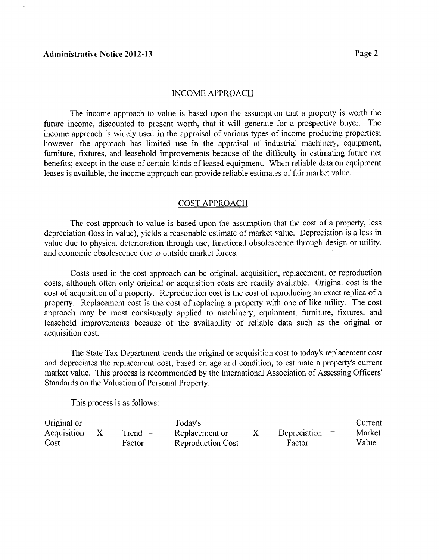#### TNCOME APPROACH

The income approach to value is based upon the assumption that a property is worth the hture income. discounted to present worth, that it will generate for a prospective buyer. The income approach is widely used in the appraisal of various types of income producing properties: however, the approach has limited use in the appraisal of industrial machinery, equipment, furniture, fixtures, and leasehold improvements because of the difficulty in estimating future net benetits; except in the case of certain kinds of leased equipment. When reliable data on equipment leases is available, the income approach can provide reliable estimates of fair market value.

#### COST APPROACH

The cost approach to value is based upon the assumption that the cost of a property. less depreciation (loss in value), yields a reasonable estimate of market value. Depreciation is a loss in value due to physical deterioration through use, functional obsolescence through design or utility. and economic obsolescence due to outside market forccs.

Costs used in the cost approach can be original, acquisition, replacement, or reproduction costs, although often only original or acquisition costs are readily available. Original cost is the cost of acquisition of a property. Reproduction cost is the cost of reproducing an exact replica of a property. Replacement cost is the cost of replacing a property with one of like utility. The cost approach may be most consistently applied to machinery, equipment, furniture, fixtures, and leasehold improvements because of the availability of reliable data such as the original or acquisition cost.

The State **Tau** Department trends the original or acquisition cost to today's replacement cost and depreciates the replacement cost, based on age and condition, to estimate a property's current market value. This process is recommended by the International Association of Assessing Officers' Standards on the Valuation of Personal Property.

This process is as follows:

| Original or |  |           | Today's                  |  |                  | Current |
|-------------|--|-----------|--------------------------|--|------------------|---------|
| Acquisition |  | $Trend =$ | Replacement or           |  | Depreciation $=$ | Market  |
| Cost        |  | Factor    | <b>Reproduction Cost</b> |  | Factor           | Value   |